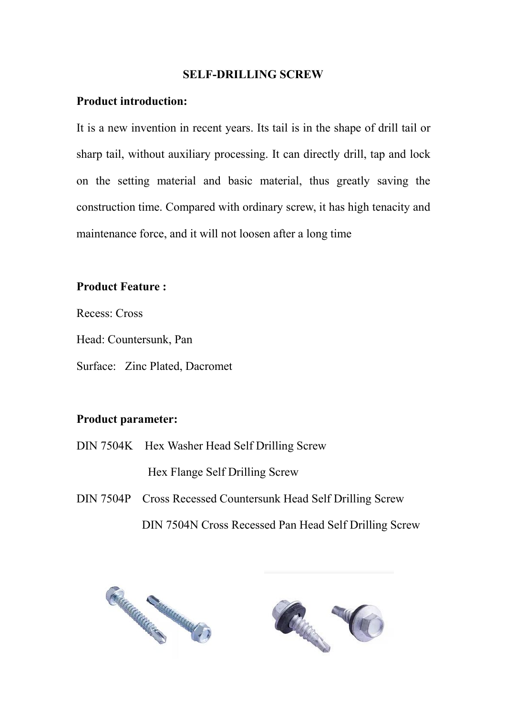### **SELF-DRILLING SCREW**

#### **Product introduction:**

It is a new invention in recent years. Its tail is in the shape of drill tail or sharp tail, without auxiliary processing. It can directly drill, tap and lock on the setting material and basic material, thus greatly saving the construction time. Compared with ordinary screw, it has high tenacity and maintenance force, and it will not loosen after a long time

### **Product Feature :**

Recess: Cross

Head: Countersunk, Pan

Surface: Zinc Plated, Dacromet

# **Product parameter:**

DIN 7504K Hex Washer Head Self Drilling Screw

Hex Flange Self Drilling Screw

DIN 7504P Cross Recessed Countersunk Head Self Drilling Screw DIN 7504N Cross Recessed Pan Head Self Drilling Screw